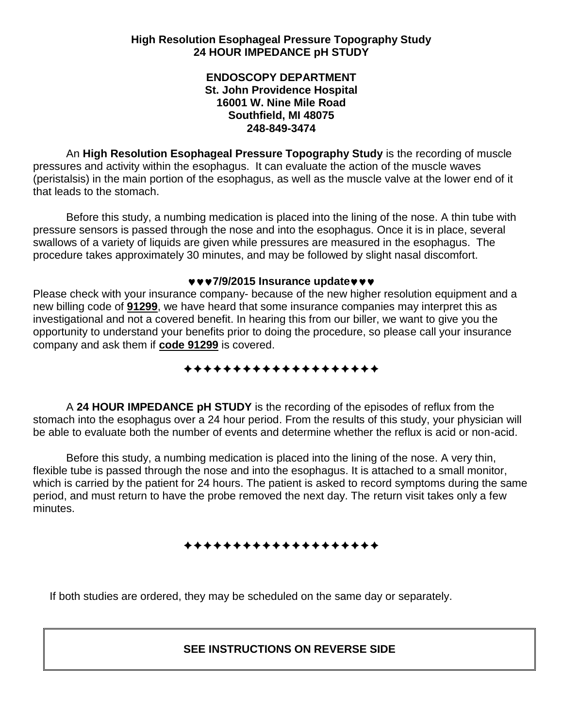## **High Resolution Esophageal Pressure Topography Study 24 HOUR IMPEDANCE pH STUDY**

## **ENDOSCOPY DEPARTMENT St. John Providence Hospital 16001 W. Nine Mile Road Southfield, MI 48075 248-849-3474**

An **High Resolution Esophageal Pressure Topography Study** is the recording of muscle pressures and activity within the esophagus. It can evaluate the action of the muscle waves (peristalsis) in the main portion of the esophagus, as well as the muscle valve at the lower end of it that leads to the stomach.

Before this study, a numbing medication is placed into the lining of the nose. A thin tube with pressure sensors is passed through the nose and into the esophagus. Once it is in place, several swallows of a variety of liquids are given while pressures are measured in the esophagus. The procedure takes approximately 30 minutes, and may be followed by slight nasal discomfort.

#### **VVV7/9/2015 Insurance updateVVV**

Please check with your insurance company- because of the new higher resolution equipment and a new billing code of **91299**, we have heard that some insurance companies may interpret this as investigational and not a covered benefit. In hearing this from our biller, we want to give you the opportunity to understand your benefits prior to doing the procedure, so please call your insurance company and ask them if **code 91299** is covered.

#### **+++++++++++++++++++**

A **24 HOUR IMPEDANCE pH STUDY** is the recording of the episodes of reflux from the stomach into the esophagus over a 24 hour period. From the results of this study, your physician will be able to evaluate both the number of events and determine whether the reflux is acid or non-acid.

Before this study, a numbing medication is placed into the lining of the nose. A very thin, flexible tube is passed through the nose and into the esophagus. It is attached to a small monitor, which is carried by the patient for 24 hours. The patient is asked to record symptoms during the same period, and must return to have the probe removed the next day. The return visit takes only a few minutes.

## \*\*\*\*\*\*\*\*\*\*\*\*\*\*\*\*\*\*\*\*

If both studies are ordered, they may be scheduled on the same day or separately.

## **SEE INSTRUCTIONS ON REVERSE SIDE**